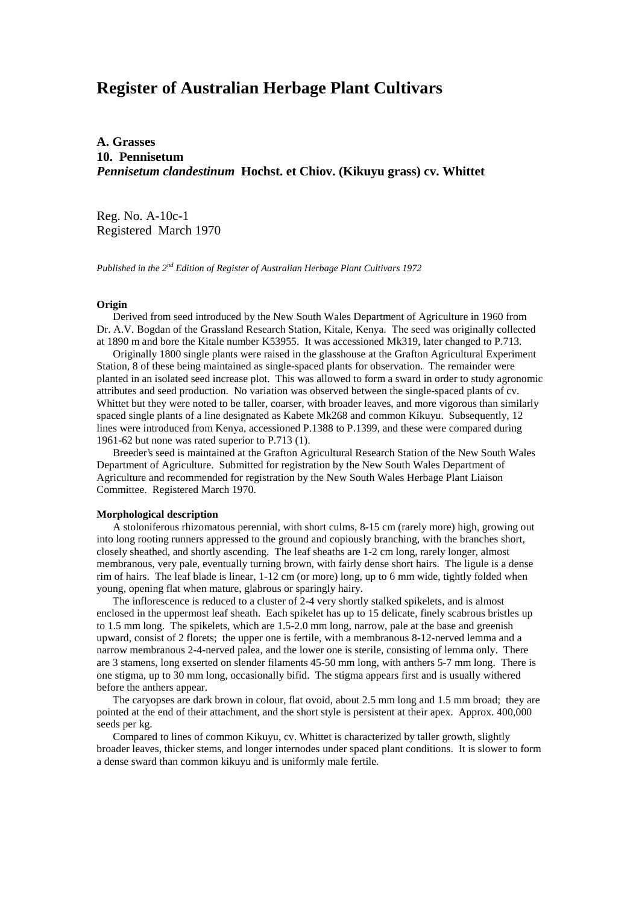# **Register of Australian Herbage Plant Cultivars**

**A. Grasses 10. Pennisetum** *Pennisetum clandestinum* **Hochst. et Chiov. (Kikuyu grass) cv. Whittet**

Reg. No. A-10c-1 Registered March 1970

*Published in the 2nd Edition of Register of Australian Herbage Plant Cultivars 1972*

## **Origin**

 Derived from seed introduced by the New South Wales Department of Agriculture in 1960 from Dr. A.V. Bogdan of the Grassland Research Station, Kitale, Kenya. The seed was originally collected at 1890 m and bore the Kitale number K53955. It was accessioned Mk319, later changed to P.713.

 Originally 1800 single plants were raised in the glasshouse at the Grafton Agricultural Experiment Station, 8 of these being maintained as single-spaced plants for observation. The remainder were planted in an isolated seed increase plot. This was allowed to form a sward in order to study agronomic attributes and seed production. No variation was observed between the single-spaced plants of cv. Whittet but they were noted to be taller, coarser, with broader leaves, and more vigorous than similarly spaced single plants of a line designated as Kabete Mk268 and common Kikuyu. Subsequently, 12 lines were introduced from Kenya, accessioned P.1388 to P.1399, and these were compared during 1961-62 but none was rated superior to P.713 (1).

 Breeder's seed is maintained at the Grafton Agricultural Research Station of the New South Wales Department of Agriculture. Submitted for registration by the New South Wales Department of Agriculture and recommended for registration by the New South Wales Herbage Plant Liaison Committee. Registered March 1970.

#### **Morphological description**

 A stoloniferous rhizomatous perennial, with short culms, 8-15 cm (rarely more) high, growing out into long rooting runners appressed to the ground and copiously branching, with the branches short, closely sheathed, and shortly ascending. The leaf sheaths are 1-2 cm long, rarely longer, almost membranous, very pale, eventually turning brown, with fairly dense short hairs. The ligule is a dense rim of hairs. The leaf blade is linear, 1-12 cm (or more) long, up to 6 mm wide, tightly folded when young, opening flat when mature, glabrous or sparingly hairy.

 The inflorescence is reduced to a cluster of 2-4 very shortly stalked spikelets, and is almost enclosed in the uppermost leaf sheath. Each spikelet has up to 15 delicate, finely scabrous bristles up to 1.5 mm long. The spikelets, which are 1.5-2.0 mm long, narrow, pale at the base and greenish upward, consist of 2 florets; the upper one is fertile, with a membranous 8-12-nerved lemma and a narrow membranous 2-4-nerved palea, and the lower one is sterile, consisting of lemma only. There are 3 stamens, long exserted on slender filaments 45-50 mm long, with anthers 5-7 mm long. There is one stigma, up to 30 mm long, occasionally bifid. The stigma appears first and is usually withered before the anthers appear.

 The caryopses are dark brown in colour, flat ovoid, about 2.5 mm long and 1.5 mm broad; they are pointed at the end of their attachment, and the short style is persistent at their apex. Approx. 400,000 seeds per kg.

 Compared to lines of common Kikuyu, cv. Whittet is characterized by taller growth, slightly broader leaves, thicker stems, and longer internodes under spaced plant conditions. It is slower to form a dense sward than common kikuyu and is uniformly male fertile.